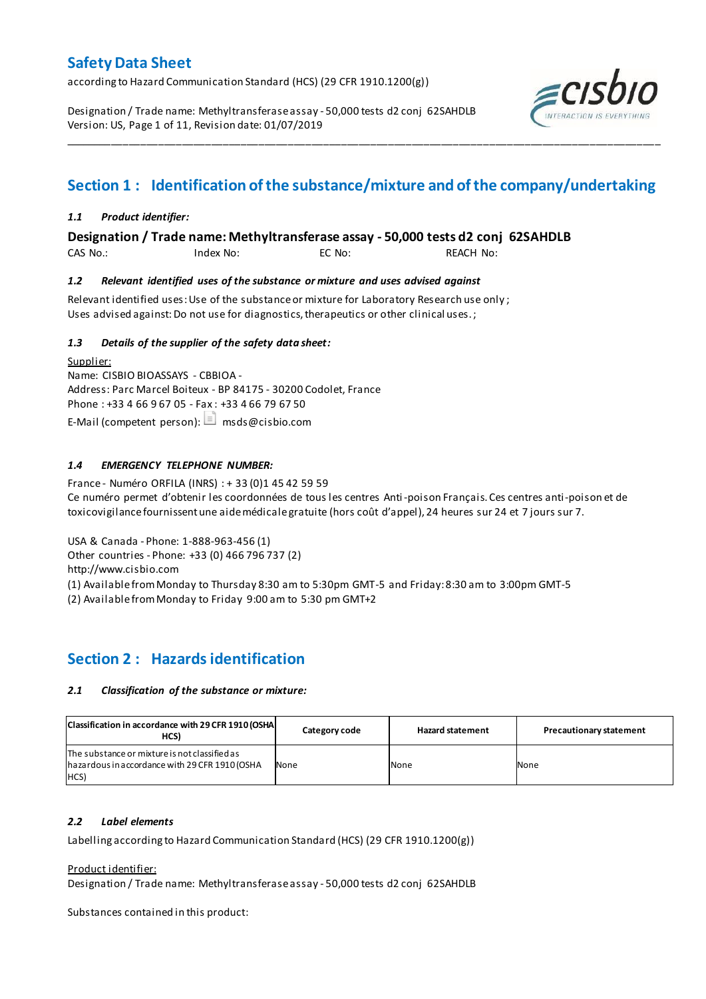according to Hazard Communication Standard (HCS) (29 CFR 1910.1200(g))

Designation / Trade name: Methyltransferase assay - 50,000 tests d2 conj 62SAHDLB Version: US, Page 1 of 11, Revision date: 01/07/2019



## **Section 1 : Identification of the substance/mixture and of the company/undertaking**

\_\_\_\_\_\_\_\_\_\_\_\_\_\_\_\_\_\_\_\_\_\_\_\_\_\_\_\_\_\_\_\_\_\_\_\_\_\_\_\_\_\_\_\_\_\_\_\_\_\_\_\_\_\_\_\_\_\_\_\_\_\_\_\_\_\_\_\_\_\_\_\_\_\_\_\_\_\_\_\_\_\_\_\_\_\_\_\_\_\_\_\_\_\_\_\_\_\_\_\_\_

### *1.1 Product identifier:*

**Designation / Trade name: Methyltransferase assay - 50,000 tests d2 conj 62SAHDLB** 

CAS No.: Index No: EC No: REACH No:

### *1.2 Relevant identified uses of the substance or mixture and uses advised against*

Relevant identified uses: Use of the substance or mixture for Laboratory Research use only ; Uses advised against: Do not use for diagnostics, therapeutics or other clinical uses.;

### *1.3 Details of the supplier of the safety data sheet:*

Supplier: Name: CISBIO BIOASSAYS - CBBIOA - Address: Parc Marcel Boiteux - BP 84175 - 30200 Codolet, France Phone : +33 4 66 9 67 05 - Fax : +33 4 66 79 67 50 E-Mail (competent person):  $\Box$  msds@cisbio.com

### *1.4 EMERGENCY TELEPHONE NUMBER:*

France - Numéro ORFILA (INRS) : + 33 (0)1 45 42 59 59 Ce numéro permet d'obtenir les coordonnées de tous les centres Anti-poison Français. Ces centres anti-poison et de toxicovigilance fournissent une aide médicale gratuite (hors coût d'appel), 24 heures sur 24 et 7 jours sur 7.

USA & Canada - Phone: 1-888-963-456 (1)

Other countries - Phone: +33 (0) 466 796 737 (2)

http://www.cisbio.com

(1) Available from Monday to Thursday 8:30 am to 5:30pm GMT-5 and Friday: 8:30 am to 3:00pm GMT-5

(2) Available from Monday to Friday 9:00 am to 5:30 pm GMT+2

## **Section 2 : Hazards identification**

### *2.1 Classification of the substance or mixture:*

| Classification in accordance with 29 CFR 1910 (OSHA<br>HCS)                                             | Category code | <b>Hazard statement</b> | <b>Precautionary statement</b> |
|---------------------------------------------------------------------------------------------------------|---------------|-------------------------|--------------------------------|
| The substance or mixture is not classified as<br>hazardous in accordance with 29 CFR 1910 (OSHA<br>HCS) | None          | None                    | None                           |

### *2.2 Label elements*

Labelling according to Hazard Communication Standard (HCS) (29 CFR 1910.1200(g))

Product identifier:

Designation / Trade name: Methyltransferase assay - 50,000 tests d2 conj 62SAHDLB

Substances contained in this product: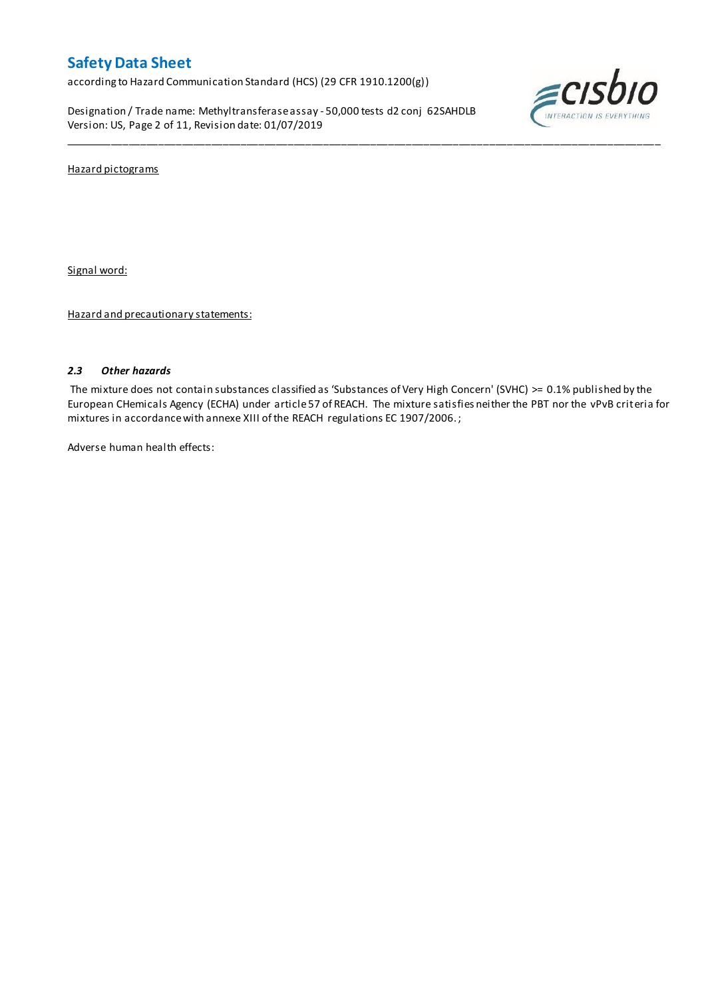according to Hazard Communication Standard (HCS) (29 CFR 1910.1200(g))

Designation / Trade name: Methyltransferase assay - 50,000 tests d2 conj 62SAHDLB Version: US, Page 2 of 11, Revision date: 01/07/2019



Hazard pictograms

Signal word:

Hazard and precautionary statements:

### *2.3 Other hazards*

The mixture does not contain substances classified as 'Substances of Very High Concern' (SVHC) >= 0.1% published by the European CHemicals Agency (ECHA) under article 57 of REACH. The mixture satisfies neither the PBT nor the vPvB criteria for mixtures in accordance with annexe XIII of the REACH regulations EC 1907/2006. ;

\_\_\_\_\_\_\_\_\_\_\_\_\_\_\_\_\_\_\_\_\_\_\_\_\_\_\_\_\_\_\_\_\_\_\_\_\_\_\_\_\_\_\_\_\_\_\_\_\_\_\_\_\_\_\_\_\_\_\_\_\_\_\_\_\_\_\_\_\_\_\_\_\_\_\_\_\_\_\_\_\_\_\_\_\_\_\_\_\_\_\_\_\_\_\_\_\_\_\_\_\_

Adverse human health effects: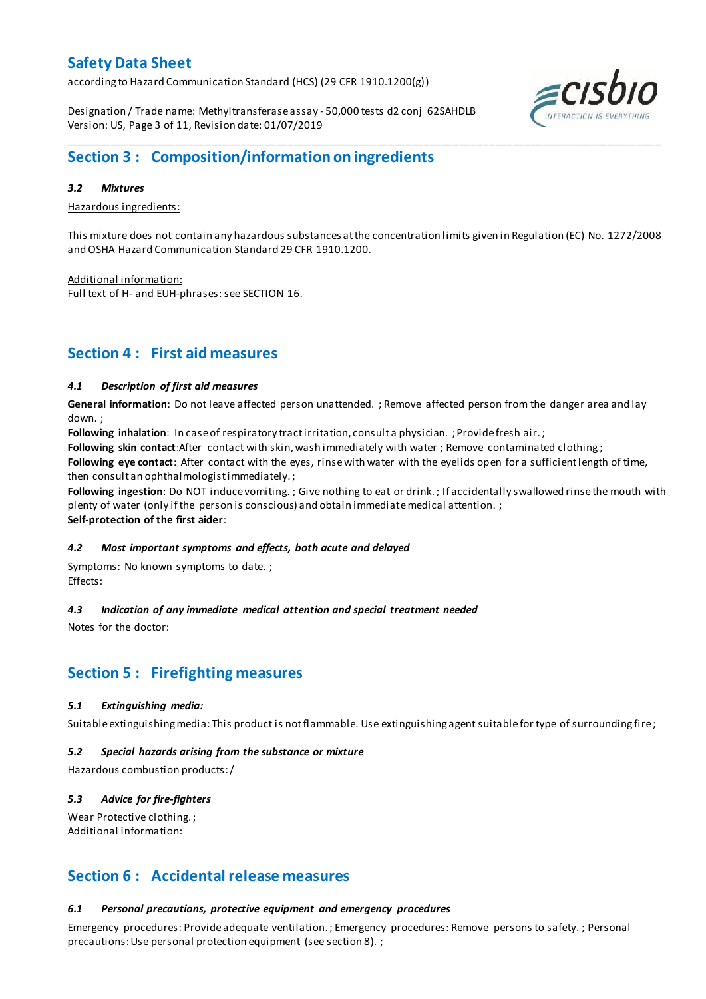according to Hazard Communication Standard (HCS) (29 CFR 1910.1200(g))

Designation / Trade name: Methyltransferase assay - 50,000 tests d2 conj 62SAHDLB Version: US, Page 3 of 11, Revision date: 01/07/2019



## **Section 3 : Composition/information on ingredients**

### *3.2 Mixtures*

Hazardous ingredients:

This mixture does not contain any hazardous substances at the concentration limits given in Regulation (EC) No. 1272/2008 and OSHA Hazard Communication Standard 29 CFR 1910.1200.

\_\_\_\_\_\_\_\_\_\_\_\_\_\_\_\_\_\_\_\_\_\_\_\_\_\_\_\_\_\_\_\_\_\_\_\_\_\_\_\_\_\_\_\_\_\_\_\_\_\_\_\_\_\_\_\_\_\_\_\_\_\_\_\_\_\_\_\_\_\_\_\_\_\_\_\_\_\_\_\_\_\_\_\_\_\_\_\_\_\_\_\_\_\_\_\_\_\_\_\_\_

Additional information:

Full text of H- and EUH-phrases: see SECTION 16.

## **Section 4 : First aid measures**

### *4.1 Description of first aid measures*

**General information**: Do not leave affected person unattended. ; Remove affected person from the danger area and lay down. ;

**Following inhalation**: In case of respiratory tract irritation, consult a physician. ; Provide fresh air. ;

**Following skin contact**:After contact with skin, wash immediately with water ; Remove contaminated clothing ;

**Following eye contact**: After contact with the eyes, rinse with water with the eyelids open for a sufficient length of time, then consult an ophthalmologist immediately. ;

**Following ingestion**: Do NOT induce vomiting. ; Give nothing to eat or drink. ; If accidentally swallowed rinse the mouth with plenty of water (only if the person is conscious) and obtain immediate medical attention. ; **Self-protection of the first aider**:

### *4.2 Most important symptoms and effects, both acute and delayed*

Symptoms: No known symptoms to date. ; Effects:

### *4.3 Indication of any immediate medical attention and special treatment needed*

Notes for the doctor:

## **Section 5 : Firefighting measures**

### *5.1 Extinguishing media:*

Suitable extinguishing media: This product is not flammable. Use extinguishing agent suitable for type of surrounding fire ;

### *5.2 Special hazards arising from the substance or mixture*

Hazardous combustion products:/

### *5.3 Advice for fire-fighters*

Wear Protective clothing.; Additional information:

## **Section 6 : Accidental release measures**

### *6.1 Personal precautions, protective equipment and emergency procedures*

Emergency procedures: Provide adequate ventilation. ; Emergency procedures: Remove persons to safety. ; Personal precautions: Use personal protection equipment (see section 8). ;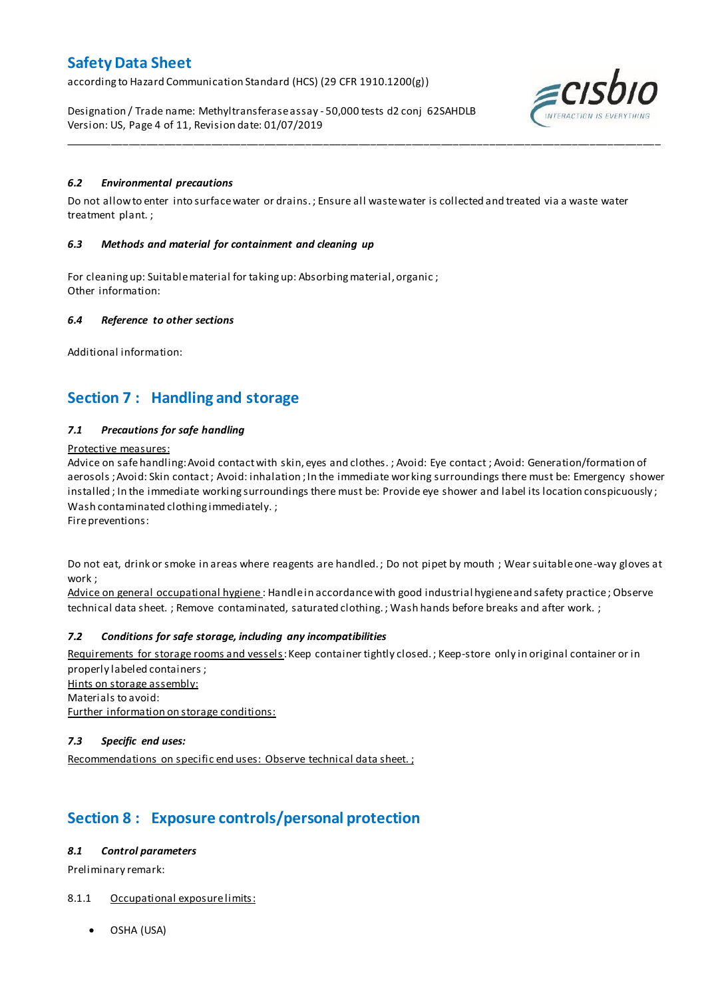according to Hazard Communication Standard (HCS) (29 CFR 1910.1200(g))

Designation / Trade name: Methyltransferase assay - 50,000 tests d2 conj 62SAHDLB Version: US, Page 4 of 11, Revision date: 01/07/2019



### *6.2 Environmental precautions*

Do not allow to enter into surface water or drains. ; Ensure all waste water is collected and treated via a waste water treatment plant. ;

\_\_\_\_\_\_\_\_\_\_\_\_\_\_\_\_\_\_\_\_\_\_\_\_\_\_\_\_\_\_\_\_\_\_\_\_\_\_\_\_\_\_\_\_\_\_\_\_\_\_\_\_\_\_\_\_\_\_\_\_\_\_\_\_\_\_\_\_\_\_\_\_\_\_\_\_\_\_\_\_\_\_\_\_\_\_\_\_\_\_\_\_\_\_\_\_\_\_\_\_\_

### *6.3 Methods and material for containment and cleaning up*

For cleaning up: Suitable material for taking up: Absorbing material, organic ; Other information:

### *6.4 Reference to other sections*

Additional information:

## **Section 7 : Handling and storage**

### *7.1 Precautions for safe handling*

### Protective measures:

Advice on safe handling:Avoid contact with skin, eyes and clothes. ; Avoid: Eye contact ; Avoid: Generation/formation of aerosols ; Avoid: Skin contact ; Avoid: inhalation ; In the immediate wor king surroundings there must be: Emergency shower installed; In the immediate working surroundings there must be: Provide eye shower and label its location conspicuously; Wash contaminated clothing immediately. ;

Fire preventions:

Do not eat, drink or smoke in areas where reagents are handled. ; Do not pipet by mouth ; Wear suitable one-way gloves at work ;

Advice on general occupational hygiene: Handle in accordance with good industrial hygiene and safety practice; Observe technical data sheet. ; Remove contaminated, saturated clothing. ; Wash hands before breaks and after work. ;

### *7.2 Conditions for safe storage, including any incompatibilities*

Requirements for storage rooms and vessels: Keep container tightly closed.; Keep-store only in original container or in properly labeled containers ; Hints on storage assembly: Materials to avoid:

Further information on storage conditions:

### *7.3 Specific end uses:*

Recommendations on specific end uses: Observe technical data sheet.;

## **Section 8 : Exposure controls/personal protection**

### *8.1 Control parameters*

Preliminary remark:

### 8.1.1 Occupational exposure limits:

OSHA (USA)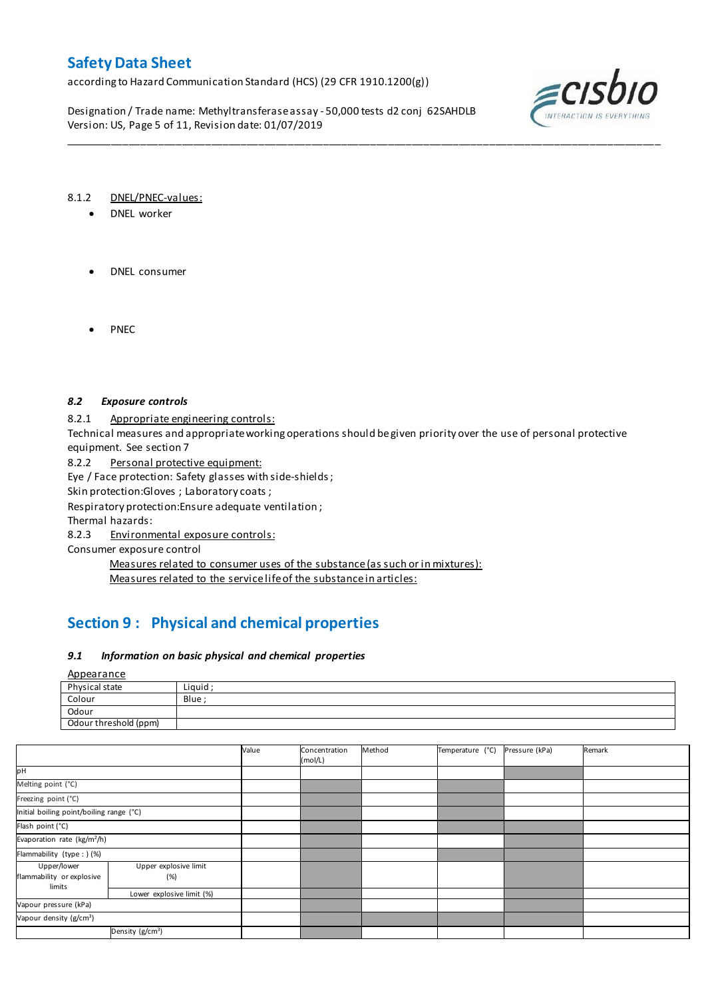according to Hazard Communication Standard (HCS) (29 CFR 1910.1200(g))

Designation / Trade name: Methyltransferase assay - 50,000 tests d2 conj 62SAHDLB Version: US, Page 5 of 11, Revision date: 01/07/2019



### 8.1.2 DNEL/PNEC-values:

- DNEL worker
- DNEL consumer
- PNEC

### *8.2 Exposure controls*

8.2.1 Appropriate engineering controls:

Technical measures and appropriate working operations should be given priority over the use of personal protective equipment. See section 7

\_\_\_\_\_\_\_\_\_\_\_\_\_\_\_\_\_\_\_\_\_\_\_\_\_\_\_\_\_\_\_\_\_\_\_\_\_\_\_\_\_\_\_\_\_\_\_\_\_\_\_\_\_\_\_\_\_\_\_\_\_\_\_\_\_\_\_\_\_\_\_\_\_\_\_\_\_\_\_\_\_\_\_\_\_\_\_\_\_\_\_\_\_\_\_\_\_\_\_\_\_

8.2.2 Personal protective equipment:

Eye / Face protection: Safety glasses with side-shields ;

Skin protection: Gloves ; Laboratory coats ;

Respiratory protection:Ensure adequate ventilation ;

Thermal hazards:

8.2.3 Environmental exposure controls:

Consumer exposure control

Measures related to consumer uses of the substance (as such or in mixtures): Measures related to the service life of the substance in articles:

## **Section 9 : Physical and chemical properties**

### *9.1 Information on basic physical and chemical properties*

Appearance

| Physical state        | Liauid |
|-----------------------|--------|
| Colour                | Blue   |
| Odour                 |        |
| Odour threshold (ppm) |        |

|                                                    |                              | Value | Concentration<br>(mol/L) | Method | Temperature (°C) | Pressure (kPa) | Remark |
|----------------------------------------------------|------------------------------|-------|--------------------------|--------|------------------|----------------|--------|
| pН                                                 |                              |       |                          |        |                  |                |        |
| Melting point (°C)                                 |                              |       |                          |        |                  |                |        |
| Freezing point (°C)                                |                              |       |                          |        |                  |                |        |
| Initial boiling point/boiling range (°C)           |                              |       |                          |        |                  |                |        |
| Flash point (°C)                                   |                              |       |                          |        |                  |                |        |
| Evaporation rate (kg/m <sup>2</sup> /h)            |                              |       |                          |        |                  |                |        |
| Flammability (type : ) (%)                         |                              |       |                          |        |                  |                |        |
| Upper/lower<br>flammability or explosive<br>limits | Upper explosive limit<br>(%) |       |                          |        |                  |                |        |
|                                                    | Lower explosive limit (%)    |       |                          |        |                  |                |        |
| Vapour pressure (kPa)                              |                              |       |                          |        |                  |                |        |
| Vapour density (g/cm <sup>3</sup> )                |                              |       |                          |        |                  |                |        |
| Density (g/cm <sup>3</sup> )                       |                              |       |                          |        |                  |                |        |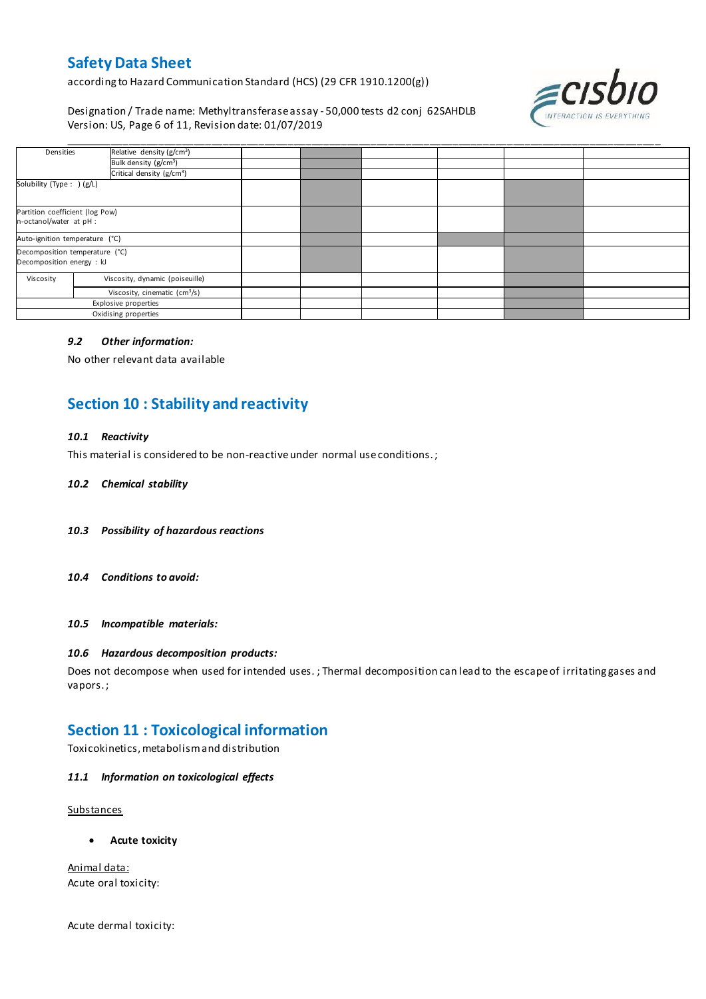according to Hazard Communication Standard (HCS) (29 CFR 1910.1200(g))

Designation / Trade name: Methyltransferase assay - 50,000 tests d2 conj 62SAHDLB Version: US, Page 6 of 11, Revision date: 01/07/2019



| Densities                                                   | Relative density (g/cm <sup>3</sup> )     |  |  |  |
|-------------------------------------------------------------|-------------------------------------------|--|--|--|
|                                                             | Bulk density (g/cm <sup>3</sup> )         |  |  |  |
|                                                             | Critical density (g/cm <sup>3</sup> )     |  |  |  |
| Solubility (Type: ) (g/L)                                   |                                           |  |  |  |
| Partition coefficient (log Pow)<br>n-octanol/water at pH :  |                                           |  |  |  |
| Auto-ignition temperature (°C)                              |                                           |  |  |  |
| Decomposition temperature (°C)<br>Decomposition energy : kJ |                                           |  |  |  |
| Viscosity                                                   | Viscosity, dynamic (poiseuille)           |  |  |  |
|                                                             | Viscosity, cinematic (cm <sup>3</sup> /s) |  |  |  |
| Explosive properties                                        |                                           |  |  |  |
| Oxidising properties                                        |                                           |  |  |  |

### *9.2 Other information:*

No other relevant data available

## **Section 10 : Stability and reactivity**

### *10.1 Reactivity*

This material is considered to be non-reactive under normal use conditions. ;

### *10.2 Chemical stability*

- *10.3 Possibility of hazardous reactions*
- *10.4 Conditions to avoid:*

*10.5 Incompatible materials:*

#### *10.6 Hazardous decomposition products:*

Does not decompose when used for intended uses. ; Thermal decomposition can lead to the escape of irritating gases and vapors. ;

### **Section 11 : Toxicological information**

Toxicokinetics, metabolism and distribution

### *11.1 Information on toxicological effects*

**Substances** 

**Acute toxicity**

Animal data: Acute oral toxicity:

Acute dermal toxicity: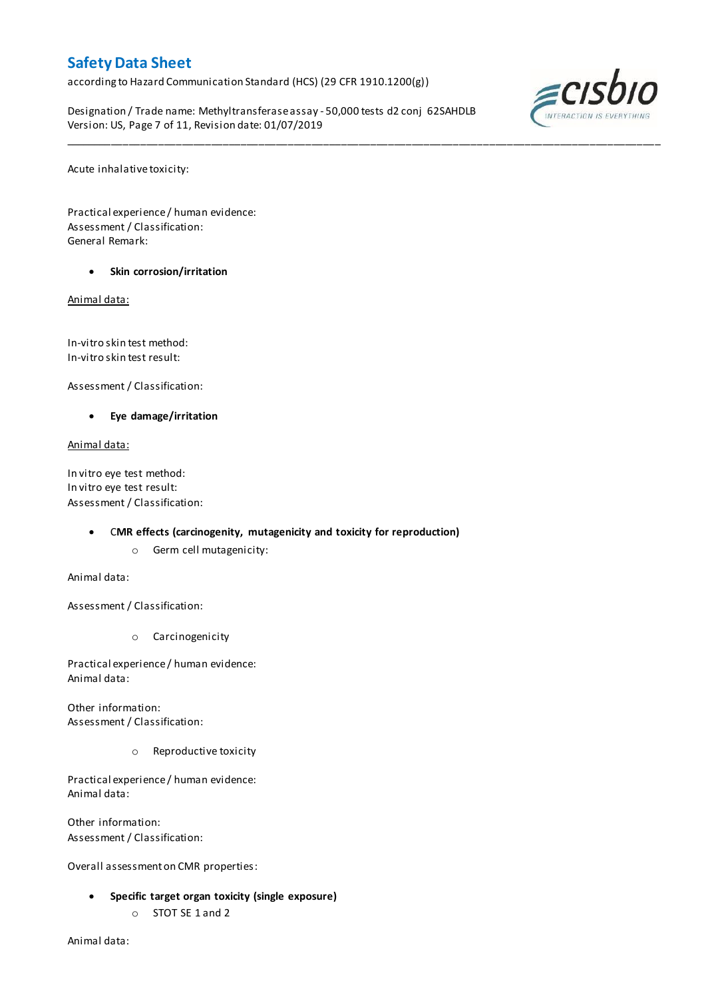according to Hazard Communication Standard (HCS) (29 CFR 1910.1200(g))

Designation / Trade name: Methyltransferase assay - 50,000 tests d2 conj 62SAHDLB Version: US, Page 7 of 11, Revision date: 01/07/2019

\_\_\_\_\_\_\_\_\_\_\_\_\_\_\_\_\_\_\_\_\_\_\_\_\_\_\_\_\_\_\_\_\_\_\_\_\_\_\_\_\_\_\_\_\_\_\_\_\_\_\_\_\_\_\_\_\_\_\_\_\_\_\_\_\_\_\_\_\_\_\_\_\_\_\_\_\_\_\_\_\_\_\_\_\_\_\_\_\_\_\_\_\_\_\_\_\_\_\_\_\_



Acute inhalative toxicity:

Practical experience / human evidence: Assessment / Classification: General Remark:

**Skin corrosion/irritation**

Animal data:

In-vitro skin test method: In-vitro skin test result:

Assessment / Classification:

**Eye damage/irritation**

Animal data:

In vitro eye test method: In vitro eye test result: Assessment / Classification:

### C**MR effects (carcinogenity, mutagenicity and toxicity for reproduction)**

o Germ cell mutagenicity:

Animal data:

Assessment / Classification:

o Carcinogenicity

Practical experience / human evidence: Animal data:

Other information: Assessment / Classification:

o Reproductive toxicity

Practical experience / human evidence: Animal data:

Other information: Assessment / Classification:

Overall assessment on CMR properties:

- **Specific target organ toxicity (single exposure)**
	- o STOT SE 1 and 2

Animal data: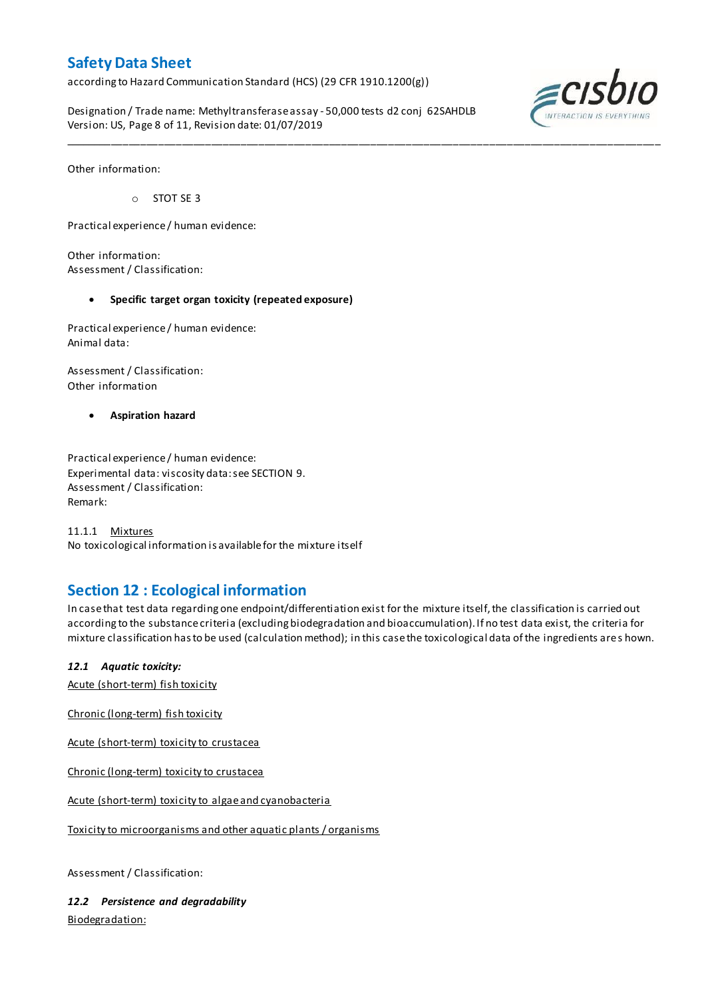according to Hazard Communication Standard (HCS) (29 CFR 1910.1200(g))

Designation / Trade name: Methyltransferase assay - 50,000 tests d2 conj 62SAHDLB Version: US, Page 8 of 11, Revision date: 01/07/2019

\_\_\_\_\_\_\_\_\_\_\_\_\_\_\_\_\_\_\_\_\_\_\_\_\_\_\_\_\_\_\_\_\_\_\_\_\_\_\_\_\_\_\_\_\_\_\_\_\_\_\_\_\_\_\_\_\_\_\_\_\_\_\_\_\_\_\_\_\_\_\_\_\_\_\_\_\_\_\_\_\_\_\_\_\_\_\_\_\_\_\_\_\_\_\_\_\_\_\_\_\_



Other information:

o STOT SE 3

Practical experience / human evidence:

Other information: Assessment / Classification:

### **Specific target organ toxicity (repeated exposure)**

Practical experience / human evidence: Animal data:

Assessment / Classification: Other information

**Aspiration hazard**

Practical experience / human evidence: Experimental data: viscosity data: see SECTION 9. Assessment / Classification: Remark:

11.1.1 Mixtures No toxicological information is available for the mixture itself

## **Section 12 : Ecological information**

In case that test data regarding one endpoint/differentiation exist for the mixture itself, the classification is carried out according to the substance criteria (excluding biodegradation and bioaccumulation). If no test data exist, the criteria for mixture classification has to be used (calculation method); in this case the toxicological data of the ingredients are s hown.

### *12.1 Aquatic toxicity:*

Acute (short-term) fish toxicity

Chronic (long-term) fish toxicity

Acute (short-term) toxicity to crustacea

Chronic (long-term) toxicity to crustacea

Acute (short-term) toxicity to algae and cyanobacteria

Toxicity to microorganisms and other aquatic plants / organisms

Assessment / Classification:

*12.2 Persistence and degradability* Biodegradation: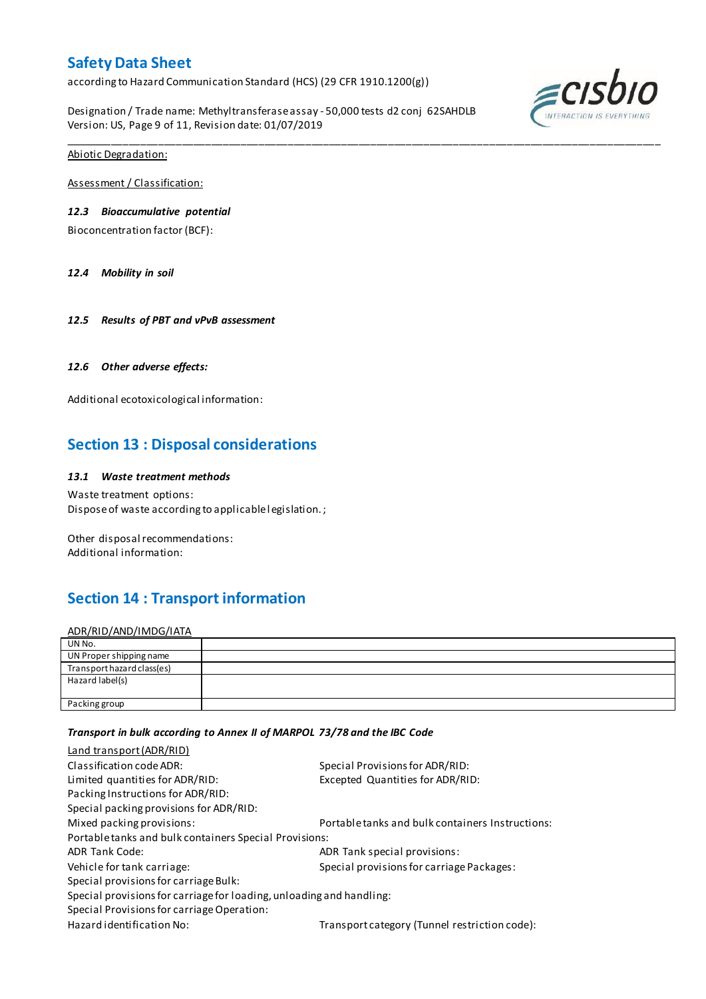according to Hazard Communication Standard (HCS) (29 CFR 1910.1200(g))

Designation / Trade name: Methyltransferase assay - 50,000 tests d2 conj 62SAHDLB Version: US, Page 9 of 11, Revision date: 01/07/2019

\_\_\_\_\_\_\_\_\_\_\_\_\_\_\_\_\_\_\_\_\_\_\_\_\_\_\_\_\_\_\_\_\_\_\_\_\_\_\_\_\_\_\_\_\_\_\_\_\_\_\_\_\_\_\_\_\_\_\_\_\_\_\_\_\_\_\_\_\_\_\_\_\_\_\_\_\_\_\_\_\_\_\_\_\_\_\_\_\_\_\_\_\_\_\_\_\_\_\_\_\_



Abiotic Degradation:

Assessment / Classification:

### *12.3 Bioaccumulative potential*

Bioconcentration factor (BCF):

*12.4 Mobility in soil*

*12.5 Results of PBT and vPvB assessment*

### *12.6 Other adverse effects:*

Additional ecotoxicological information:

## **Section 13 : Disposal considerations**

### *13.1 Waste treatment methods*

Waste treatment options: Dispose of waste according to applicable l egislation. ;

Other disposal recommendations: Additional information:

## **Section 14 : Transport information**

ADR/RID/AND/IMDG/IATA

| UN No.                     |  |
|----------------------------|--|
| UN Proper shipping name    |  |
| Transport hazard class(es) |  |
| Hazard label(s)            |  |
|                            |  |
| Packing group              |  |

### *Transport in bulk according to Annex II of MARPOL 73/78 and the IBC Code*

| Land transport (ADR/RID)                                             |                                                  |  |  |  |
|----------------------------------------------------------------------|--------------------------------------------------|--|--|--|
| Classification code ADR:                                             | Special Provisions for ADR/RID:                  |  |  |  |
| Limited quantities for ADR/RID:                                      | Excepted Quantities for ADR/RID:                 |  |  |  |
| Packing Instructions for ADR/RID:                                    |                                                  |  |  |  |
| Special packing provisions for ADR/RID:                              |                                                  |  |  |  |
| Mixed packing provisions:                                            | Portable tanks and bulk containers Instructions: |  |  |  |
| Portable tanks and bulk containers Special Provisions:               |                                                  |  |  |  |
| <b>ADR Tank Code:</b>                                                | ADR Tank special provisions:                     |  |  |  |
| Vehicle for tank carriage:                                           | Special provisions for carriage Packages:        |  |  |  |
| Special provisions for carriage Bulk:                                |                                                  |  |  |  |
| Special provisions for carriage for loading, unloading and handling: |                                                  |  |  |  |
| Special Provisions for carriage Operation:                           |                                                  |  |  |  |
| Hazard identification No:                                            | Transport category (Tunnel restriction code):    |  |  |  |
|                                                                      |                                                  |  |  |  |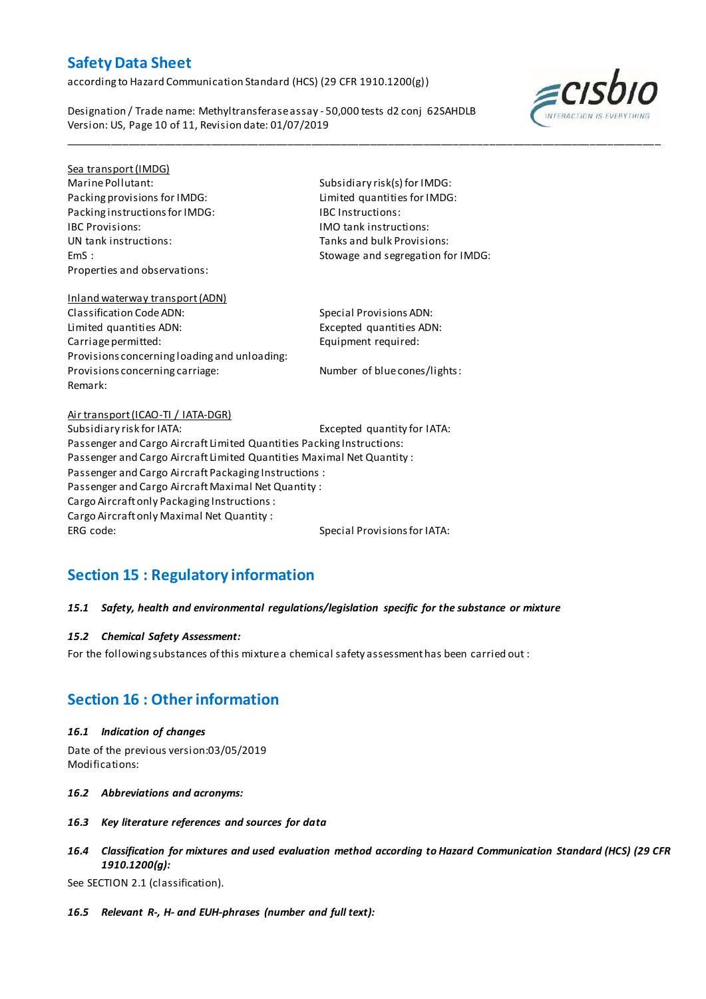according to Hazard Communication Standard (HCS) (29 CFR 1910.1200(g))

Designation / Trade name: Methyltransferase assay - 50,000 tests d2 conj 62SAHDLB Version: US, Page 10 of 11, Revision date: 01/07/2019



# Sea transport (IMDG)

Packing provisions for IMDG: Limited quantities for IMDG: Packing instructions for IMDG: IBC Instructions: IBC Provisions: IMO tank instructions: Properties and observations:

Marine Pollutant: Subsidiary risk(s) for IMDG: Tanks and bulk Provisions: EmS : Stowage and segregation for IMDG:

\_\_\_\_\_\_\_\_\_\_\_\_\_\_\_\_\_\_\_\_\_\_\_\_\_\_\_\_\_\_\_\_\_\_\_\_\_\_\_\_\_\_\_\_\_\_\_\_\_\_\_\_\_\_\_\_\_\_\_\_\_\_\_\_\_\_\_\_\_\_\_\_\_\_\_\_\_\_\_\_\_\_\_\_\_\_\_\_\_\_\_\_\_\_\_\_\_\_\_\_\_

### Inland waterway transport (ADN) Classification Code ADN: Special Provisions ADN: Limited quantities ADN: Excepted quantities ADN: Carriage permitted: Equipment required: Provisions concerning loading and unloading: Provisions concerning carriage: Number of blue cones/lights: Remark:

### Air transport (ICAO-TI / IATA-DGR) Subsidiary risk for IATA: Excepted quantity for IATA: Passenger and Cargo Aircraft Limited Quantities Packing Instructions: Passenger and Cargo Aircraft Limited Quantities Maximal Net Quantity : Passenger and Cargo Aircraft Packaging Instructions : Passenger and Cargo Aircraft Maximal Net Quantity : Cargo Aircraft only Packaging Instructions : Cargo Aircraft only Maximal Net Quantity : ERG code: Special Provisions for IATA:

## **Section 15 : Regulatory information**

### *15.1 Safety, health and environmental regulations/legislation specific for the substance or mixture*

### *15.2 Chemical Safety Assessment:*

For the following substances of this mixture a chemical safety assessment has been carried out :

## **Section 16 : Other information**

### *16.1 Indication of changes*

Date of the previous version:03/05/2019 Modifications:

- *16.2 Abbreviations and acronyms:*
- *16.3 Key literature references and sources for data*
- *16.4 Classification for mixtures and used evaluation method according to Hazard Communication Standard (HCS) (29 CFR 1910.1200(g):*

See SECTION 2.1 (classification).

*16.5 Relevant R-, H- and EUH-phrases (number and full text):*